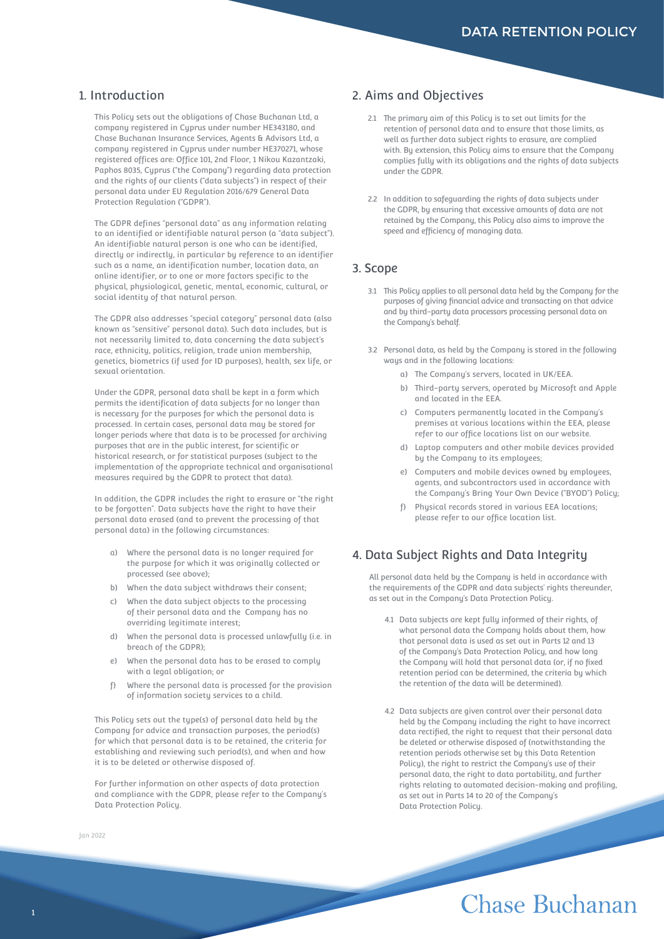### 1. Introduction

This Policy sets out the obligations of Chase Buchanan Ltd, a company registered in Cyprus under number HE343180, and Chase Buchanan Insurance Services, Agents & Advisors Ltd, a company registered in Cyprus under number HE370271, whose registered offices are: Office 101, 2nd Floor, 1 Nikou Kazantzaki, Paphos 8035, Cyprus ("the Company") regarding data protection and the rights of our clients ("data subjects") in respect of their personal data under EU Regulation 2016/679 General Data Protection Regulation ("GDPR").

The GDPR defines "personal data" as any information relating to an identified or identifiable natural person (a "data subject"). An identifiable natural person is one who can be identified, directly or indirectly, in particular by reference to an identifier such as a name, an identification number, location data, an online identifier, or to one or more factors specific to the physical, physiological, genetic, mental, economic, cultural, or social identity of that natural person.

The GDPR also addresses "special category" personal data (also known as "sensitive" personal data). Such data includes, but is not necessarily limited to, data concerning the data subject's race, ethnicity, politics, religion, trade union membership, genetics, biometrics (if used for ID purposes), health, sex life, or sexual orientation.

Under the GDPR, personal data shall be kept in a form which permits the identification of data subjects for no longer than is necessary for the purposes for which the personal data is processed. In certain cases, personal data may be stored for longer periods where that data is to be processed for archiving purposes that are in the public interest, for scientific or historical research, or for statistical purposes (subject to the implementation of the appropriate technical and organisational measures required by the GDPR to protect that data).

In addition, the GDPR includes the right to erasure or "the right to be forgotten". Data subjects have the right to have their personal data erased (and to prevent the processing of that personal data) in the following circumstances:

- a) Where the personal data is no longer required for the purpose for which it was originally collected or processed (see above);
- b) When the data subject withdraws their consent;
- c) When the data subject objects to the processing of their personal data and the Company has no overriding legitimate interest;
- d) When the personal data is processed unlawfully (i.e. in breach of the GDPR);
- e) When the personal data has to be erased to comply with a legal obligation; or
- f) Where the personal data is processed for the provision of information society services to a child.

This Policy sets out the type(s) of personal data held by the Company for advice and transaction purposes, the period(s) for which that personal data is to be retained, the criteria for establishing and reviewing such period(s), and when and how it is to be deleted or otherwise disposed of.

For further information on other aspects of data protection and compliance with the GDPR, please refer to the Company's Data Protection Policy.

Jan 2022

### 2. Aims and Objectives

- 2.1 The primary aim of this Policy is to set out limits for the retention of personal data and to ensure that those limits, as well as further data subject rights to erasure, are complied with. By extension, this Policy aims to ensure that the Company complies fully with its obligations and the rights of data subjects under the GDPR.
- 2.2 In addition to safeguarding the rights of data subjects under the GDPR, by ensuring that excessive amounts of data are not retained by the Company, this Policy also aims to improve the speed and efficiency of managing data.

### 3. Scope

- 3.1 This Policy applies to all personal data held by the Company for the purposes of giving financial advice and transacting on that advice and by third-party data processors processing personal data on the Company's behalf.
- 3.2 Personal data, as held by the Company is stored in the following ways and in the following locations:
	- a) The Company's servers, located in UK/EEA.
	- b) Third-party servers, operated by Microsoft and Apple and located in the EEA.
	- c) Computers permanently located in the Company's premises at various locations within the EEA, please refer to our office locations list on our website.
	- d) Laptop computers and other mobile devices provided by the Company to its employees;
	- e) Computers and mobile devices owned by employees, agents, and subcontractors used in accordance with the Company's Bring Your Own Device ("BYOD") Policy;
	- Physical records stored in various EEA locations; please refer to our office location list.

## 4. Data Subject Rights and Data Integrity

All personal data held by the Company is held in accordance with the requirements of the GDPR and data subjects' rights thereunder, as set out in the Company's Data Protection Policy.

- 4.1 Data subjects are kept fully informed of their rights, of what personal data the Company holds about them, how that personal data is used as set out in Parts 12 and 13 of the Company's Data Protection Policy, and how long the Company will hold that personal data (or, if no fixed retention period can be determined, the criteria by which the retention of the data will be determined).
- 4.2 Data subjects are given control over their personal data held by the Company including the right to have incorrect data rectified, the right to request that their personal data be deleted or otherwise disposed of (notwithstanding the retention periods otherwise set by this Data Retention Policy), the right to restrict the Company's use of their personal data, the right to data portability, and further rights relating to automated decision-making and profiling, as set out in Parts 14 to 20 of the Company's Data Protection Policy.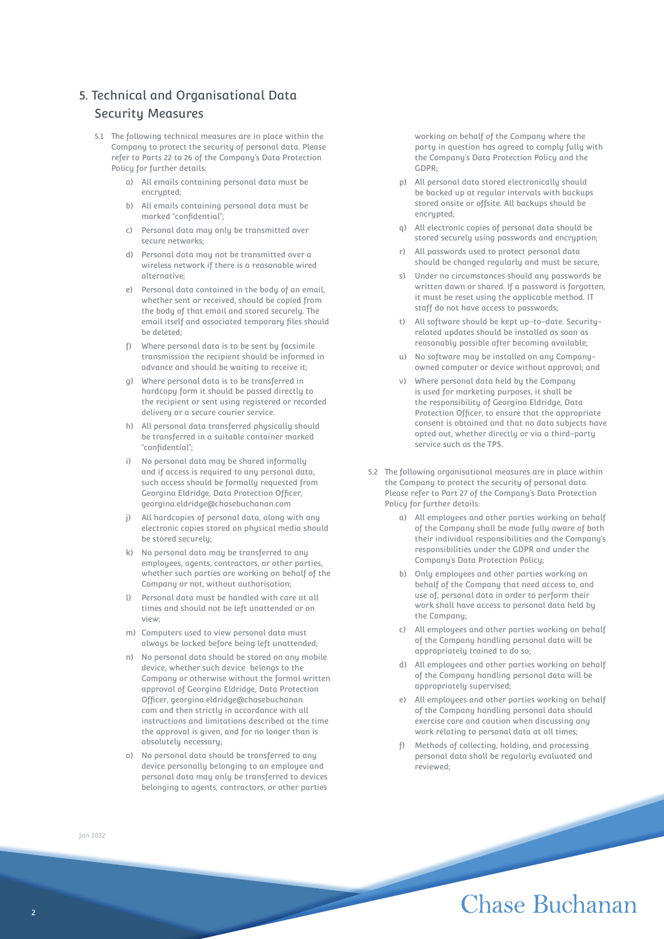## 5. Technical and Organisational Data Security Measures

- 5.1 The following technical measures are in place within the Company to protect the security of personal data. Please refer to Parts 22 to 26 of the Company's Data Protection Policy for further details:
	- a) All emails containing personal data must be encrupted:
	- b) All emails containing personal data must be marked "confidential";
	- c) Personal data may only be transmitted over secure networks;
	- d) Personal data may not be transmitted over a wireless network if there is a reasonable wired alternative;
	- e) Personal data contained in the body of an email, whether sent or received, should be copied from the body of that email and stored securely. The email itself and associated temporary files should be deleted;
	- f) Where personal data is to be sent by facsimile transmission the recipient should be informed in advance and should be waiting to receive it;
	- g) Where personal data is to be transferred in hardcopy form it should be passed directly to the recipient or sent using registered or recorded delivery or a secure courier service.
	- h) All personal data transferred physically should be transferred in a suitable container marked "confidential";
	- i) No personal data may be shared informally and if access is required to any personal data, such access should be formally requested from Georgina Eldridge, Data Protection Officer, georgina.eldridge@chasebuchanan.com
	- j) All hardcopies of personal data, along with any electronic copies stored on physical media should be stored securely;
	- k) No personal data may be transferred to any employees, agents, contractors, or other parties, whether such parties are working on behalf of the Company or not, without authorisation;
	- Personal data must be handled with care at all times and should not be left unattended or on view;
	- m) Computers used to view personal data must always be locked before being left unattended;
	- n) No personal data should be stored on any mobile device, whether such device belongs to the Company or otherwise without the formal written approval of Georgina Eldridge, Data Protection Officer, georgina.eldridge@chasebuchanan. com and then strictly in accordance with all instructions and limitations described at the time the approval is given, and for no longer than is absolutely necessary;
	- o) No personal data should be transferred to any device personally belonging to an employee and personal data may only be transferred to devices belonging to agents, contractors, or other parties

working on behalf of the Company where the party in question has agreed to comply fully with the Company's Data Protection Policy and the GDPR;

- p) All personal data stored electronically should be backed up at regular intervals with backups stored onsite or offsite. All backups should be encrupted:
- q) All electronic copies of personal data should be stored securely using passwords and encryption;
- r) All passwords used to protect personal data should be changed regularly and must be secure;
- s) Under no circumstances should any passwords be written down or shared. If a password is forgotten, it must be reset using the applicable method. IT staff do not have access to passwords;
- t) All software should be kept up-to-date. Securityrelated updates should be installed as soon as reasonably possible after becoming available;
- u) No software may be installed on any Companyowned computer or device without approval; and
- v) Where personal data held by the Company is used for marketing purposes, it shall be the responsibility of Georgina Eldridge, Data Protection Officer, to ensure that the appropriate consent is obtained and that no data subjects have opted out, whether directly or via a third-party service such as the TPS.
- 5.2 The following organisational measures are in place within the Company to protect the security of personal data. Please refer to Part 27 of the Company's Data Protection Policy for further details:
	- a) All employees and other parties working on behalf of the Company shall be made fully aware of both their individual responsibilities and the Company's responsibilities under the GDPR and under the Company's Data Protection Policy;
	- b) Only employees and other parties working on behalf of the Company that need access to, and use of, personal data in order to perform their work shall have access to personal data held by the Company;
	- c) All employees and other parties working on behalf of the Company handling personal data will be appropriately trained to do so;
	- d) All employees and other parties working on behalf of the Company handling personal data will be appropriately supervised;
	- e) All employees and other parties working on behalf of the Company handling personal data should exercise care and caution when discussing any work relating to personal data at all times;
	- Methods of collecting, holding, and processing personal data shall be regularly evaluated and reviewed;

#### Jan 2022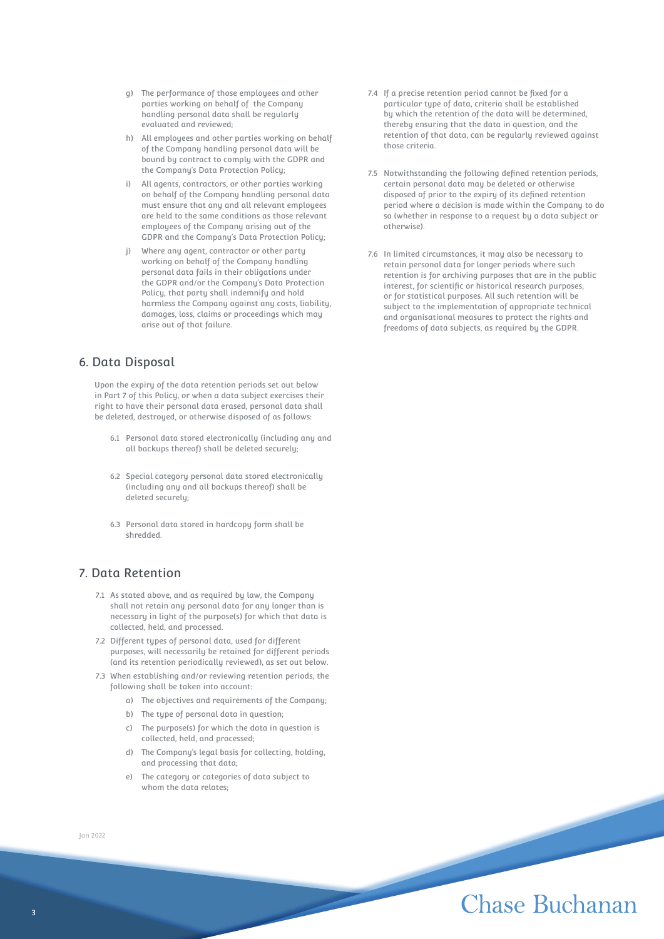- g) The performance of those employees and other parties working on behalf of the Company handling personal data shall be regularly evaluated and reviewed;
- h) All employees and other parties working on behalf of the Company handling personal data will be bound by contract to comply with the GDPR and the Company's Data Protection Policy;
- All agents, contractors, or other parties working on behalf of the Company handling personal data must ensure that any and all relevant employees are held to the same conditions as those relevant employees of the Company arising out of the GDPR and the Company's Data Protection Policy;
- j) Where any agent, contractor or other party working on behalf of the Company handling personal data fails in their obligations under the GDPR and/or the Company's Data Protection Policy, that party shall indemnify and hold harmless the Company against any costs, liability, damages, loss, claims or proceedings which may arise out of that failure.

### 6. Data Disposal

Upon the expiry of the data retention periods set out below in Part 7 of this Policy, or when a data subject exercises their right to have their personal data erased, personal data shall be deleted, destroyed, or otherwise disposed of as follows:

- 6.1 Personal data stored electronically (including any and all backups thereof) shall be deleted securely;
- 6.2 Special category personal data stored electronically (including any and all backups thereof) shall be deleted securely;
- 6.3 Personal data stored in hardcopy form shall be shredded.

## 7. Data Retention

- 7.1 As stated above, and as required by law, the Company shall not retain any personal data for any longer than is necessary in light of the purpose(s) for which that data is collected, held, and processed.
- 7.2 Different types of personal data, used for different purposes, will necessarily be retained for different periods (and its retention periodically reviewed), as set out below.
- 7.3 When establishing and/or reviewing retention periods, the following shall be taken into account:
	- a) The objectives and requirements of the Company;
	- b) The type of personal data in question;
	- c) The purpose(s) for which the data in question is collected, held, and processed;
	- d) The Company's legal basis for collecting, holding, and processing that data;
	- e) The category or categories of data subject to whom the data relates;

Jan 2022

- 7.4 If a precise retention period cannot be fixed for a particular type of data, criteria shall be established by which the retention of the data will be determined, thereby ensuring that the data in question, and the retention of that data, can be regularly reviewed against those criteria.
- 7.5 Notwithstanding the following defined retention periods, certain personal data may be deleted or otherwise disposed of prior to the expiry of its defined retention period where a decision is made within the Company to do so (whether in response to a request by a data subject or otherwise).
- 7.6 In limited circumstances, it may also be necessary to retain personal data for longer periods where such retention is for archiving purposes that are in the public interest, for scientific or historical research purposes, or for statistical purposes. All such retention will be subject to the implementation of appropriate technical and organisational measures to protect the rights and freedoms of data subjects, as required by the GDPR.